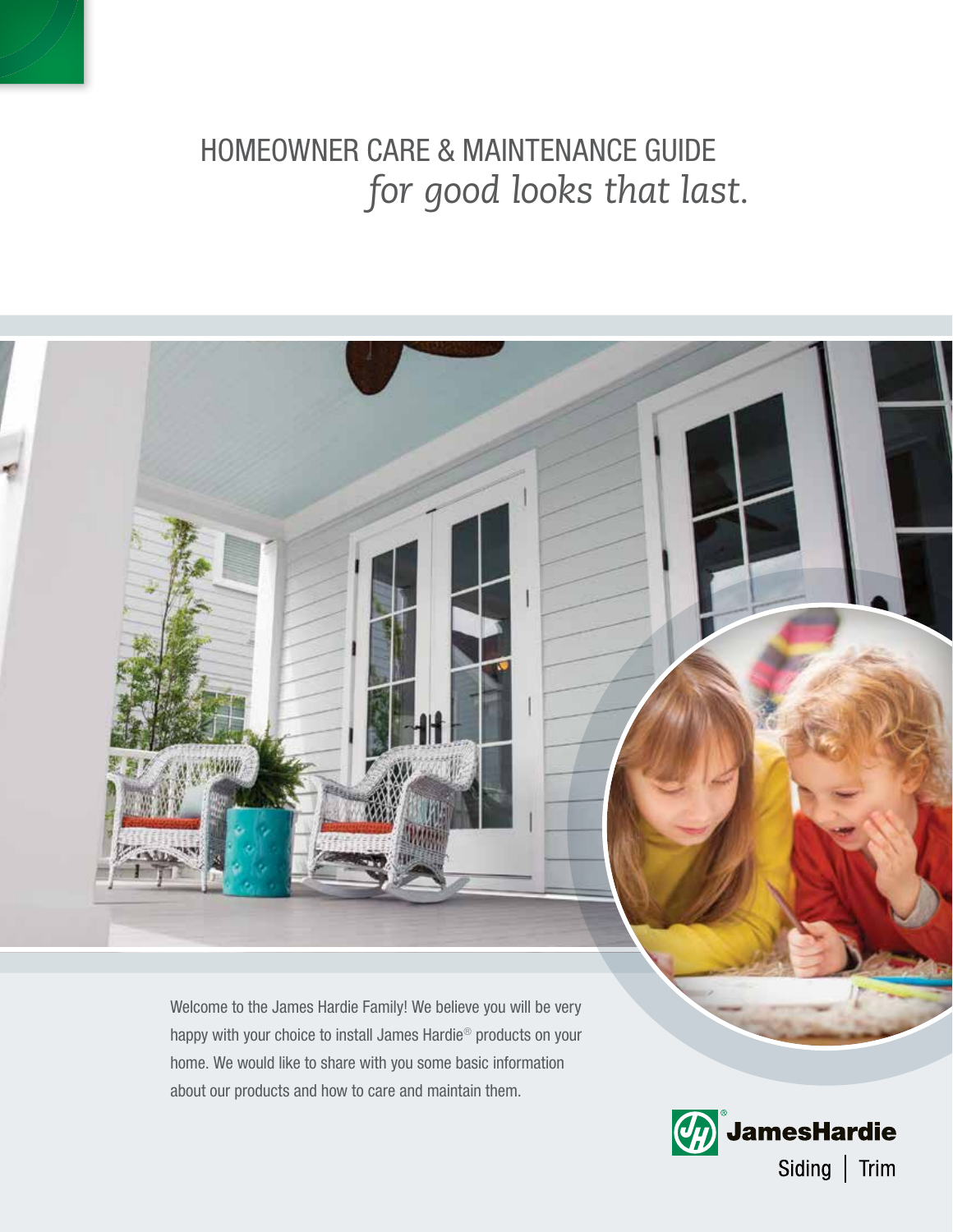HOMEOWNER CARE & MAINTENANCE GUIDE  *for good looks that last.*



Welcome to the James Hardie Family! We believe you will be very happy with your choice to install James Hardie® products on your home. We would like to share with you some basic information about our products and how to care and maintain them.

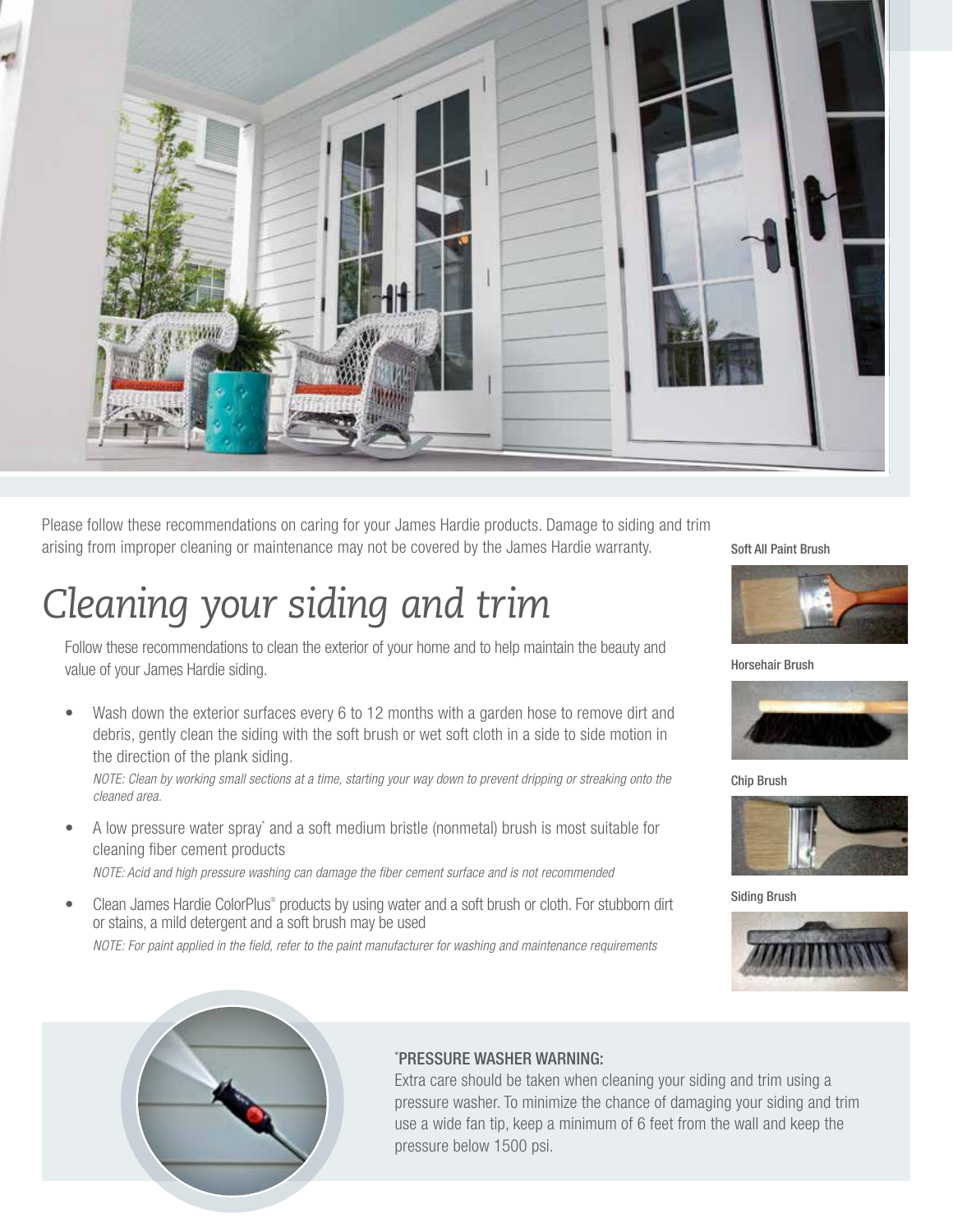

Please follow these recommendations on caring for your James Hardie products. Damage to siding and trim arising from improper cleaning or maintenance may not be covered by the James Hardie warranty. Soft All Paint Brush

## *Cleaning your siding and trim*

Follow these recommendations to clean the exterior of your home and to help maintain the beauty and value of your James Hardie siding.

• Wash down the exterior surfaces every 6 to 12 months with a garden hose to remove dirt and debris, gently clean the siding with the soft brush or wet soft cloth in a side to side motion in the direction of the plank siding.

NOTE: Clean by working small sections at a time, starting your way down to prevent dripping or streaking onto the cleaned area.

• A low pressure water spray\* and a soft medium bristle (nonmetal) brush is most suitable for cleaning fiber cement products

NOTE: Acid and high pressure washing can damage the fiber cement surface and is not recommended

• Clean James Hardie ColorPlus® products by using water and a soft brush or cloth. For stubborn dirt or stains, a mild detergent and a soft brush may be used

NOTE: For paint applied in the field, refer to the paint manufacturer for washing and maintenance requirements



Horsehair Brush



Chip Brush



Siding Brush





#### \*PRESSURE WASHER WARNING:

Extra care should be taken when cleaning your siding and trim using a pressure washer. To minimize the chance of damaging your siding and trim use a wide fan tip, keep a minimum of 6 feet from the wall and keep the pressure below 1500 psi.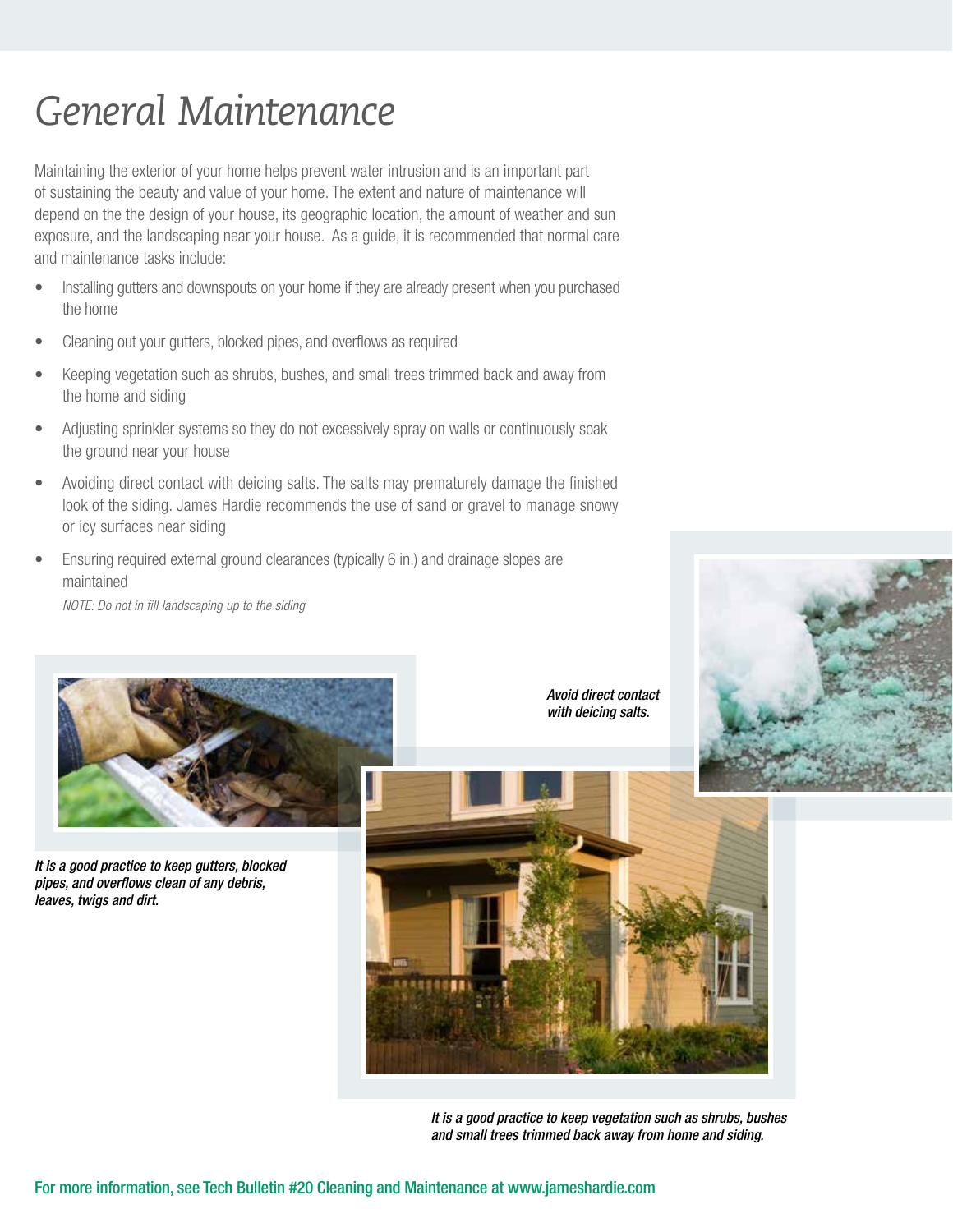## *General Maintenance*

Maintaining the exterior of your home helps prevent water intrusion and is an important part of sustaining the beauty and value of your home. The extent and nature of maintenance will depend on the the design of your house, its geographic location, the amount of weather and sun exposure, and the landscaping near your house. As a guide, it is recommended that normal care and maintenance tasks include:

- Installing gutters and downspouts on your home if they are already present when you purchased the home
- Cleaning out your gutters, blocked pipes, and overflows as required
- Keeping vegetation such as shrubs, bushes, and small trees trimmed back and away from the home and siding
- Adjusting sprinkler systems so they do not excessively spray on walls or continuously soak the ground near your house
- Avoiding direct contact with deicing salts. The salts may prematurely damage the finished look of the siding. James Hardie recommends the use of sand or gravel to manage snowy or icy surfaces near siding
- Ensuring required external ground clearances (typically 6 in.) and drainage slopes are maintained

NOTE: Do not in fill landscaping up to the siding



*It is a good practice to keep gutters, blocked pipes, and overflows clean of any debris, leaves, twigs and dirt.*

*Avoid direct contact with deicing salts.*





*It is a good practice to keep vegetation such as shrubs, bushes and small trees trimmed back away from home and siding.*